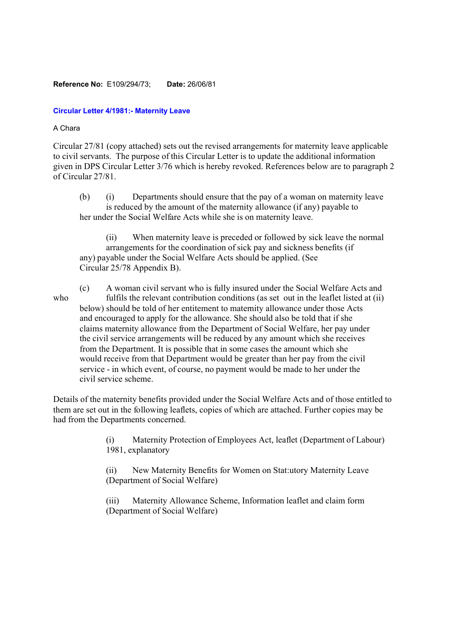## **Reference No:** E109/294/73; **Date:** 26/06/81

## **Circular Letter 4/1981:- Maternity Leave**

## A Chara

Circular 27/81 (copy attached) sets out the revised arrangements for maternity leave applicable to civil servants. The purpose of this Circular Letter is to update the additional information given in DPS Circular Letter 3/76 which is hereby revoked. References below are to paragraph 2 of Circular 27/81.

(b) (i) Departments should ensure that the pay of a woman on maternity leave is reduced by the amount of the maternity allowance (if any) payable to her under the Social Welfare Acts while she is on maternity leave.

(ii) When maternity leave is preceded or followed by sick leave the normal arrangements for the coordination of sick pay and sickness benefits (if any) payable under the Social Welfare Acts should be applied. (See Circular 25/78 Appendix B).

(c) A woman civil servant who is fully insured under the Social Welfare Acts and who fulfils the relevant contribution conditions (as set out in the leaflet listed at (ii) below) should be told of her entitement to maternity allowance under those Acts and encouraged to apply for the allowance. She should also be told that if she claims maternity allowance from the Department of Social Welfare, her pay under the civil service arrangements will be reduced by any amount which she receives from the Department. It is possible that in some cases the amount which she would receive from that Department would be greater than her pay from the civil service - in which event, of course, no payment would be made to her under the civil service scheme.

Details of the maternity benefits provided under the Social Welfare Acts and of those entitled to them are set out in the following leaflets, copies of which are attached. Further copies may be had from the Departments concerned.

> (i) Maternity Protection of Employees Act, leaflet (Department of Labour) 1981, explanatory

(ii) New Maternity Benefits for Women on Stat:utory Maternity Leave (Department of Social Welfare)

(iii) Maternity Allowance Scheme, Information leaflet and claim form (Department of Social Welfare)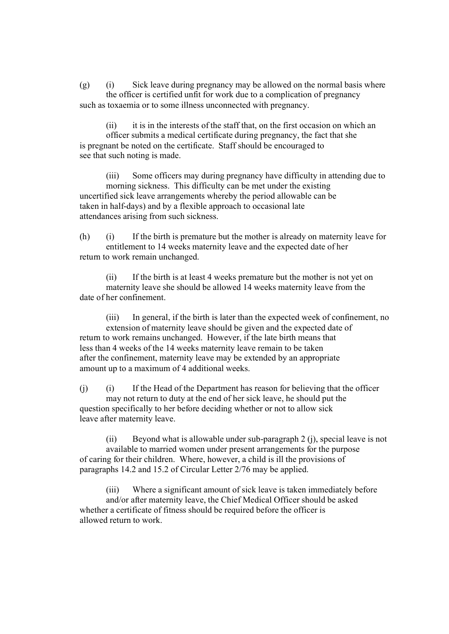(g) (i) Sick leave during pregnancy may be allowed on the normal basis where the officer is certified unfit for work due to a complication of pregnancy such as toxaemia or to some illness unconnected with pregnancy.

(ii) it is in the interests of the staff that, on the first occasion on which an officer submits a medical certificate during pregnancy, the fact that she is pregnant be noted on the certificate. Staff should be encouraged to see that such noting is made.

(iii) Some officers may during pregnancy have difficulty in attending due to morning sickness. This difficulty can be met under the existing uncertified sick leave arrangements whereby the period allowable can be taken in half-days) and by a flexible approach to occasional late attendances arising from such sickness.

(h) (i) If the birth is premature but the mother is already on maternity leave for entitlement to 14 weeks maternity leave and the expected date of her return to work remain unchanged.

(ii) If the birth is at least 4 weeks premature but the mother is not yet on maternity leave she should be allowed 14 weeks maternity leave from the date of her confinement.

(iii) In general, if the birth is later than the expected week of confinement, no extension of maternity leave should be given and the expected date of return to work remains unchanged. However, if the late birth means that less than 4 weeks of the 14 weeks maternity leave remain to be taken after the confinement, maternity leave may be extended by an appropriate amount up to a maximum of 4 additional weeks.

(j) (i) If the Head of the Department has reason for believing that the officer may not return to duty at the end of her sick leave, he should put the question specifically to her before deciding whether or not to allow sick leave after maternity leave.

(ii) Beyond what is allowable under sub-paragraph 2 (j), special leave is not available to married women under present arrangements for the purpose of caring for their children. Where, however, a child is ill the provisions of paragraphs 14.2 and 15.2 of Circular Letter 2/76 may be applied.

(iii) Where a significant amount of sick leave is taken immediately before and/or after maternity leave, the Chief Medical Officer should be asked whether a certificate of fitness should be required before the officer is allowed return to work.